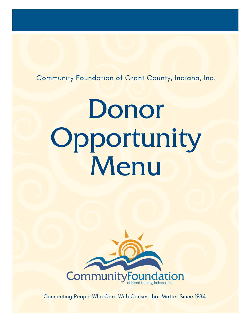Community Foundation of Grant County, Indiana, Inc.

# Donor Opportunity Menu



Connecting People Who Care With Causes that Matter Since 1984.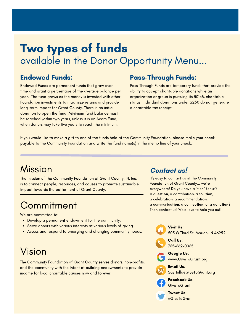## Two types of funds available in the Donor Opportunity Menu...

Endowed Funds are permanent funds that grow over time and grant a percentage of the average balance per year. The fund grows as the money is invested with other Foundation investments to maximize returns and provide long-term impact for Grant County. There is an initial donation to open the fund. Minimum fund balance must be reached within two years, unless it is an Acorn Fund, when donors may take five years to reach the minimum.

### Endowed Funds: Pass-Through Funds:

Pass-Through Funds are temporary funds that provide the ability to accept charitable donations while an organization or group is pursuing its 501c3, charitable status. Individual donations under \$250 do not generate a charitable tax receipt.

If you would like to make a gift to one of the funds held at the Community Foundation, please make your check payable to the Community Foundation and write the fund name(s) in the memo line of your check.

## Mission

The mission of The Community Foundation of Grant County, IN, Inc. is to connect people, resources, and causes to promote sustainable impact towards the betterment of Grant County.

## **Commitment**

We are committed to:

- Develop a permanent endowment for the community.
- Serve donors with various interests at various levels of giving.  $\bullet$
- Assess and respond to emerging and changing community needs.

## Vision

The Community Foundation of Grant County serves donors, non-profits, and the community with the intent of building endowments to provide income for local charitable causes now and forever.

#### **Contact us!**

It's easy to contact us at the Community Foundation of Grant County... we're everywhere! Do you have a "tion" for us? A question, a contribution, a solution, a celebration, a recommendation, a communication, a connection, or a donation? Then contact us! We'd love to help you out!



Call Us: 765-662-0065

- Google Us: www.GiveToGrant.org
- Email Us: SayHello@GiveToGrant.org



Facebook Us: **GiveToGrant** 

Tweet Us: @GiveToGrant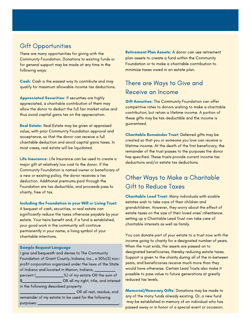#### Gift Opportunities

There are many opportunities for giving with the Community Foundation. Donations to existing funds or for general support may be made at any time in the following ways:

Cash: Cash is the easiest way to contribute and may qualify for maximum allowable income tax deductions.

Appreciated Securities: If securities are highly appreciated, a charitable contribution of them may allow the donor to deduct the full fair market value and thus avoid capital gains tax on the appreciation.

Real Estate: Real Estate may be given at appraised value, with prior Community Foundation approval and acceptance, so that the donor can receive a full charitable deduction and avoid capital gains taxes. In most cases, real estate will be liquidated.

Life Insurance: Life Insurance can be used to create a major gift at relatively low cost to the donor. If the Community Foundation is named owner or beneficiary of a new or existing policy, the donor receives a tax deduction. Additional premiums paid through the Foundation are tax deductible, and proceeds pass to charity, free of tax.

#### Including the Foundation in your Will or Living Trust:

A bequest of cash, securities, or real estate can significantly reduce the taxes otherwise payable by your estate. Your heirs benefit and, if a fund is established, your good work in the community will continue permanently in your name, a living symbol of your charitable intentions.

#### Sample Bequest Language

I give and bequeath and devise to The Community Foundation of Grant County, Indiana, Inc., a 501c(3) nonprofit corporation organized under the laws of the State of Indiana and located in Marion, Indiana, percent (\_\_\_\_\_\_\_\_\_\_\_\_%) of my estate OR the sum of \$\_\_\_\_\_\_\_\_\_\_\_\_\_\_\_\_\_ OR all my right, title, and interest in the following described property: \_\_\_\_\_\_\_\_\_\_\_\_\_\_\_\_\_\_\_\_\_\_\_\_ OR all rest, residue, and

remainder of my estate to be used for the following purposes:

Retirement Plan Assets: A donor can use retirement plan assets to create a fund within the Community Foundation or to make a charitable contribution to minimize taxes owed in an estate plan.

#### There are Ways to Give and Receive an Income

**Gift Annuities:** The Community Foundation can offer competitive rates to donors wishing to make a charitable contribution, but retain a lifetime income. A portion of these gifts may be tax-deductible and the income is guaranteed.

Charitable Remainder Trust: Deferred gifts may be created so that you or someone you love can receive a lifetime income. At the death of the first beneficiary, the remainder of the trust passes to the purposes the donor has specified. These trusts provide current income tax deductions and/or estate tax deductions.

#### Other Ways to Make a Charitable Gift to Reduce Taxes

Charitable Lead Trust: Many individuals with sizable estates wish to take care of their children and grandchildren. However, they worry about the effect of estate taxes on the size of their loved ones' inheritance. setting up a Charitable Lead Trust can take care of charitable interests as well as family.

You can donate part of your estate to a trust now with the income going to charity for a designated number of years. When the trust ends, the assets are passed on to designated beneficiaries, thereby reducing estate taxes. Support is given to the charity during all of the in-between years, and beneficiaries receive much more than they would have otherwise. Certain Lead Trusts also make it possible to pass value to future generations at greatly reduced tax levels.

Memorial/Honorary Gifts: Donations may be made to any of the many funds already existing. Or, a new fund may be established in memory of an individual who has passed away or in honor of a special event or occasion.